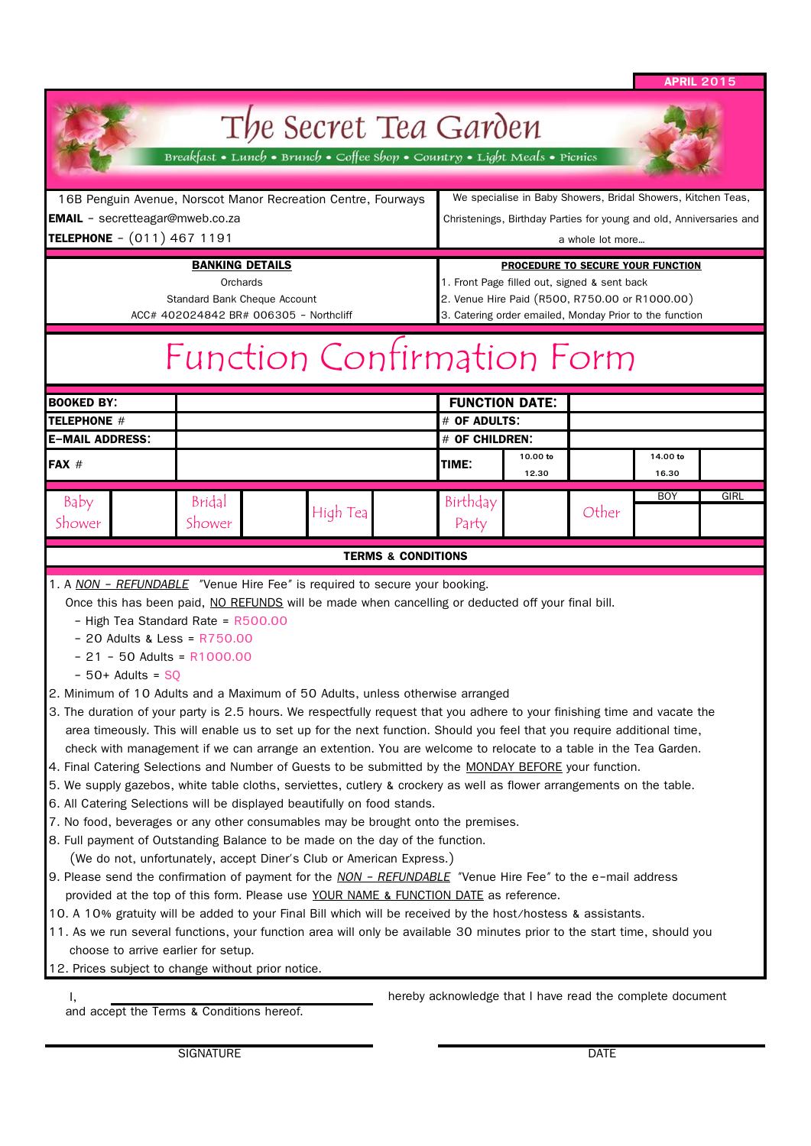|           |  | पत्ना किन् |  |  |
|-----------|--|------------|--|--|
| 1 - 1 - 1 |  |            |  |  |
|           |  |            |  |  |

ä,

|                                                                                                                                                                                                                                                                                                                                                                                                                                                                                                                                                                                                                                                                                                                                                                                                                                                                                                                                                                                                                                                                                                                                                                                                                                                                                                                                                                                                                                                                                                                                                                                                                                                                                                                                                                                                                                                                                      |                  |  |          |                                                                                                                                                                                                |                       |                                                                                                                                     |            | <b>APRIL 2015</b> |  |
|--------------------------------------------------------------------------------------------------------------------------------------------------------------------------------------------------------------------------------------------------------------------------------------------------------------------------------------------------------------------------------------------------------------------------------------------------------------------------------------------------------------------------------------------------------------------------------------------------------------------------------------------------------------------------------------------------------------------------------------------------------------------------------------------------------------------------------------------------------------------------------------------------------------------------------------------------------------------------------------------------------------------------------------------------------------------------------------------------------------------------------------------------------------------------------------------------------------------------------------------------------------------------------------------------------------------------------------------------------------------------------------------------------------------------------------------------------------------------------------------------------------------------------------------------------------------------------------------------------------------------------------------------------------------------------------------------------------------------------------------------------------------------------------------------------------------------------------------------------------------------------------|------------------|--|----------|------------------------------------------------------------------------------------------------------------------------------------------------------------------------------------------------|-----------------------|-------------------------------------------------------------------------------------------------------------------------------------|------------|-------------------|--|
|                                                                                                                                                                                                                                                                                                                                                                                                                                                                                                                                                                                                                                                                                                                                                                                                                                                                                                                                                                                                                                                                                                                                                                                                                                                                                                                                                                                                                                                                                                                                                                                                                                                                                                                                                                                                                                                                                      |                  |  |          | The Secret Tea Garden<br>Breakfast • Lunch • Brunch • Coffee Shop • Country • Light Meals • Picnics                                                                                            |                       |                                                                                                                                     |            |                   |  |
| 16B Penguin Avenue, Norscot Manor Recreation Centre, Fourways<br><b>EMAIL</b> - secretteagar@mweb.co.za                                                                                                                                                                                                                                                                                                                                                                                                                                                                                                                                                                                                                                                                                                                                                                                                                                                                                                                                                                                                                                                                                                                                                                                                                                                                                                                                                                                                                                                                                                                                                                                                                                                                                                                                                                              |                  |  |          |                                                                                                                                                                                                |                       | We specialise in Baby Showers, Bridal Showers, Kitchen Teas,<br>Christenings, Birthday Parties for young and old, Anniversaries and |            |                   |  |
| TELEPHONE - (011) 467 1191<br><b>BANKING DETAILS</b><br>Orchards<br><b>Standard Bank Cheque Account</b><br>ACC# 402024842 BR# 006305 - Northcliff                                                                                                                                                                                                                                                                                                                                                                                                                                                                                                                                                                                                                                                                                                                                                                                                                                                                                                                                                                                                                                                                                                                                                                                                                                                                                                                                                                                                                                                                                                                                                                                                                                                                                                                                    |                  |  |          | a whole lot more                                                                                                                                                                               |                       |                                                                                                                                     |            |                   |  |
|                                                                                                                                                                                                                                                                                                                                                                                                                                                                                                                                                                                                                                                                                                                                                                                                                                                                                                                                                                                                                                                                                                                                                                                                                                                                                                                                                                                                                                                                                                                                                                                                                                                                                                                                                                                                                                                                                      |                  |  |          | PROCEDURE TO SECURE YOUR FUNCTION<br>1. Front Page filled out, signed & sent back<br>2. Venue Hire Paid (R500, R750.00 or R1000.00)<br>3. Catering order emailed, Monday Prior to the function |                       |                                                                                                                                     |            |                   |  |
|                                                                                                                                                                                                                                                                                                                                                                                                                                                                                                                                                                                                                                                                                                                                                                                                                                                                                                                                                                                                                                                                                                                                                                                                                                                                                                                                                                                                                                                                                                                                                                                                                                                                                                                                                                                                                                                                                      |                  |  |          | Function Confirmation Form                                                                                                                                                                     |                       |                                                                                                                                     |            |                   |  |
| <b>BOOKED BY:</b>                                                                                                                                                                                                                                                                                                                                                                                                                                                                                                                                                                                                                                                                                                                                                                                                                                                                                                                                                                                                                                                                                                                                                                                                                                                                                                                                                                                                                                                                                                                                                                                                                                                                                                                                                                                                                                                                    |                  |  |          |                                                                                                                                                                                                | <b>FUNCTION DATE:</b> |                                                                                                                                     |            |                   |  |
| <b>TELEPHONE #</b>                                                                                                                                                                                                                                                                                                                                                                                                                                                                                                                                                                                                                                                                                                                                                                                                                                                                                                                                                                                                                                                                                                                                                                                                                                                                                                                                                                                                                                                                                                                                                                                                                                                                                                                                                                                                                                                                   |                  |  |          | # OF ADULTS:                                                                                                                                                                                   |                       |                                                                                                                                     |            |                   |  |
| <b>E-MAIL ADDRESS:</b>                                                                                                                                                                                                                                                                                                                                                                                                                                                                                                                                                                                                                                                                                                                                                                                                                                                                                                                                                                                                                                                                                                                                                                                                                                                                                                                                                                                                                                                                                                                                                                                                                                                                                                                                                                                                                                                               |                  |  |          | # OF CHILDREN:                                                                                                                                                                                 | 10.00 to              |                                                                                                                                     | 14.00 to   |                   |  |
| <b>FAX #</b>                                                                                                                                                                                                                                                                                                                                                                                                                                                                                                                                                                                                                                                                                                                                                                                                                                                                                                                                                                                                                                                                                                                                                                                                                                                                                                                                                                                                                                                                                                                                                                                                                                                                                                                                                                                                                                                                         |                  |  |          | TIME:                                                                                                                                                                                          | 12.30                 |                                                                                                                                     | 16.30      |                   |  |
| Baby<br>Shower                                                                                                                                                                                                                                                                                                                                                                                                                                                                                                                                                                                                                                                                                                                                                                                                                                                                                                                                                                                                                                                                                                                                                                                                                                                                                                                                                                                                                                                                                                                                                                                                                                                                                                                                                                                                                                                                       | Bridal<br>Shower |  | High Tea | Birthday<br>Party                                                                                                                                                                              |                       | Other                                                                                                                               | <b>BOY</b> | GIRL              |  |
|                                                                                                                                                                                                                                                                                                                                                                                                                                                                                                                                                                                                                                                                                                                                                                                                                                                                                                                                                                                                                                                                                                                                                                                                                                                                                                                                                                                                                                                                                                                                                                                                                                                                                                                                                                                                                                                                                      |                  |  |          | <b>TERMS &amp; CONDITIONS</b>                                                                                                                                                                  |                       |                                                                                                                                     |            |                   |  |
| 1. A NON - REFUNDABLE "Venue Hire Fee" is required to secure your booking.<br>Once this has been paid, NO REFUNDS will be made when cancelling or deducted off your final bill.<br>- High Tea Standard Rate = R500.00<br>$-20$ Adults & Less = $R750.00$<br>$-21 - 50$ Adults = R1000.00<br>$-50+$ Adults = SO<br>2. Minimum of 10 Adults and a Maximum of 50 Adults, unless otherwise arranged<br>3. The duration of your party is 2.5 hours. We respectfully request that you adhere to your finishing time and vacate the<br>area timeously. This will enable us to set up for the next function. Should you feel that you require additional time,<br>check with management if we can arrange an extention. You are welcome to relocate to a table in the Tea Garden.<br>4. Final Catering Selections and Number of Guests to be submitted by the MONDAY BEFORE your function.<br>5. We supply gazebos, white table cloths, serviettes, cutlery & crockery as well as flower arrangements on the table.<br>6. All Catering Selections will be displayed beautifully on food stands.<br>7. No food, beverages or any other consumables may be brought onto the premises.<br>8. Full payment of Outstanding Balance to be made on the day of the function.<br>(We do not, unfortunately, accept Diner's Club or American Express.)<br>9. Please send the confirmation of payment for the NON - REFUNDABLE "Venue Hire Fee" to the e-mail address<br>provided at the top of this form. Please use YOUR NAME & FUNCTION DATE as reference.<br>10. A 10% gratuity will be added to your Final Bill which will be received by the host/hostess & assistants.<br>11. As we run several functions, your function area will only be available 30 minutes prior to the start time, should you<br>choose to arrive earlier for setup.<br>12. Prices subject to change without prior notice. |                  |  |          | hereby acknowledge that I have read the complete document                                                                                                                                      |                       |                                                                                                                                     |            |                   |  |
| and accept the Terms & Conditions hereof.                                                                                                                                                                                                                                                                                                                                                                                                                                                                                                                                                                                                                                                                                                                                                                                                                                                                                                                                                                                                                                                                                                                                                                                                                                                                                                                                                                                                                                                                                                                                                                                                                                                                                                                                                                                                                                            |                  |  |          |                                                                                                                                                                                                |                       |                                                                                                                                     |            |                   |  |
|                                                                                                                                                                                                                                                                                                                                                                                                                                                                                                                                                                                                                                                                                                                                                                                                                                                                                                                                                                                                                                                                                                                                                                                                                                                                                                                                                                                                                                                                                                                                                                                                                                                                                                                                                                                                                                                                                      | <b>SIGNATURE</b> |  |          |                                                                                                                                                                                                |                       | <b>DATE</b>                                                                                                                         |            |                   |  |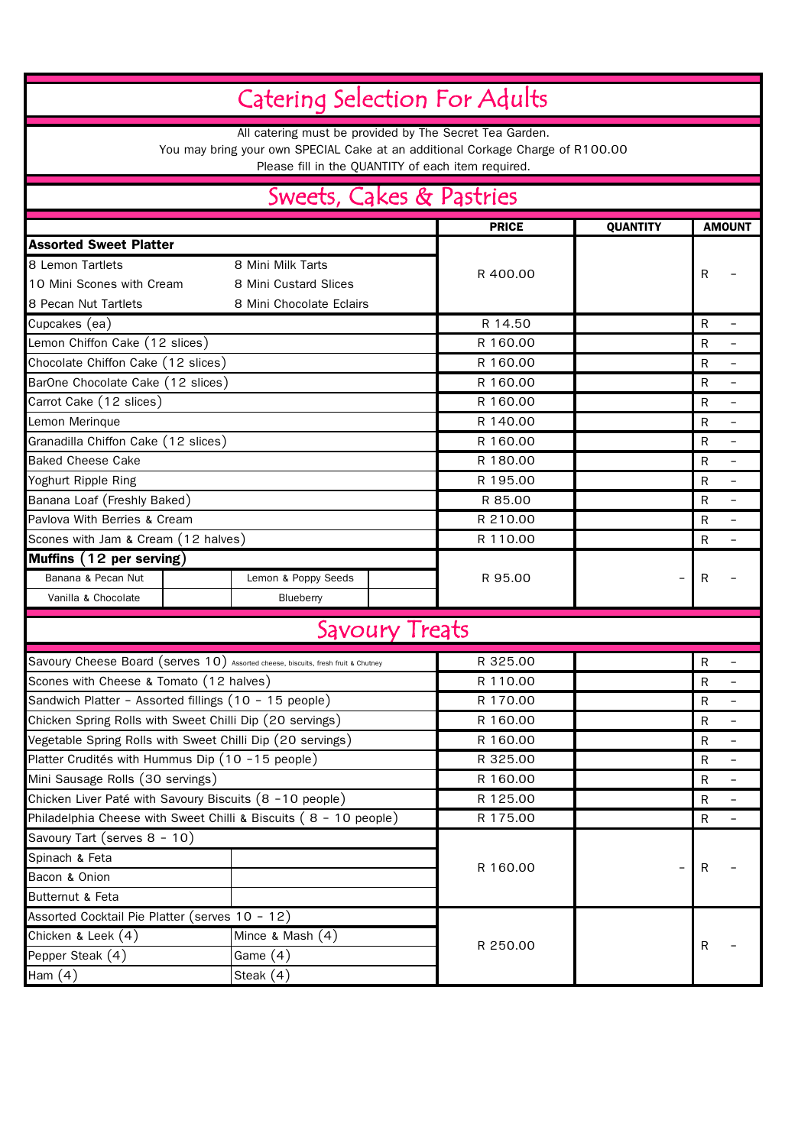|                                                  |                                                                                                                                           | <b>Catering Selection For Adults</b>               |                               |                          |
|--------------------------------------------------|-------------------------------------------------------------------------------------------------------------------------------------------|----------------------------------------------------|-------------------------------|--------------------------|
|                                                  | All catering must be provided by The Secret Tea Garden.<br>You may bring your own SPECIAL Cake at an additional Corkage Charge of R100.00 | Please fill in the QUANTITY of each item required. |                               |                          |
|                                                  |                                                                                                                                           | Sweets, Cakes & Pastries                           |                               |                          |
|                                                  |                                                                                                                                           | <b>PRICE</b>                                       | <b>QUANTITY</b>               | <b>AMOUNT</b>            |
| <b>Assorted Sweet Platter</b>                    |                                                                                                                                           |                                                    |                               |                          |
| 8 Lemon Tartlets                                 | 8 Mini Milk Tarts                                                                                                                         |                                                    |                               |                          |
| 10 Mini Scones with Cream                        | 8 Mini Custard Slices                                                                                                                     | R 400.00                                           | R                             |                          |
| 8 Pecan Nut Tartlets                             | 8 Mini Chocolate Eclairs                                                                                                                  |                                                    |                               |                          |
| Cupcakes (ea)                                    |                                                                                                                                           | R 14.50                                            | $\mathsf R$                   |                          |
| Lemon Chiffon Cake (12 slices)                   |                                                                                                                                           | R 160.00                                           | R                             |                          |
| Chocolate Chiffon Cake (12 slices)               |                                                                                                                                           | R 160.00                                           | R                             |                          |
| BarOne Chocolate Cake (12 slices)                |                                                                                                                                           | R 160.00                                           | $\mathsf{R}$                  |                          |
| Carrot Cake (12 slices)                          |                                                                                                                                           | R 160.00                                           | R                             |                          |
| Lemon Merinque                                   |                                                                                                                                           | R 140.00                                           | R                             |                          |
| Granadilla Chiffon Cake (12 slices)              |                                                                                                                                           | R 160.00                                           | R                             |                          |
| <b>Baked Cheese Cake</b>                         |                                                                                                                                           | R 180.00                                           | $\mathsf{R}$                  |                          |
| Yoghurt Ripple Ring                              |                                                                                                                                           | R 195.00                                           | $\mathsf{R}$                  |                          |
| Banana Loaf (Freshly Baked)                      |                                                                                                                                           | R 85.00                                            | $\mathsf{R}$                  |                          |
| Pavlova With Berries & Cream                     |                                                                                                                                           | R 210.00                                           | R                             |                          |
| Scones with Jam & Cream (12 halves)              |                                                                                                                                           | R 110.00                                           | R                             |                          |
| Muffins (12 per serving)                         |                                                                                                                                           |                                                    |                               |                          |
| Banana & Pecan Nut                               | Lemon & Poppy Seeds                                                                                                                       | R 95.00                                            | R<br>$\overline{\phantom{a}}$ |                          |
| Vanilla & Chocolate                              | Blueberry                                                                                                                                 |                                                    |                               |                          |
|                                                  |                                                                                                                                           | Savoury Treats                                     |                               |                          |
|                                                  |                                                                                                                                           |                                                    |                               |                          |
|                                                  | Savoury Cheese Board (serves 10) Assorted cheese, biscuits, fresh fruit & Chutney                                                         | R 325.00                                           | R                             |                          |
| Scones with Cheese & Tomato (12 halves)          |                                                                                                                                           | R 110.00                                           | R                             | $\overline{\phantom{m}}$ |
|                                                  | Sandwich Platter - Assorted fillings (10 - 15 people)                                                                                     | R 170.00                                           | R                             |                          |
|                                                  | Chicken Spring Rolls with Sweet Chilli Dip (20 servings)                                                                                  | R 160.00                                           | R                             |                          |
|                                                  | Vegetable Spring Rolls with Sweet Chilli Dip (20 servings)                                                                                | R 160.00                                           | $\mathsf{R}$                  | -                        |
| Platter Crudités with Hummus Dip (10 -15 people) |                                                                                                                                           | R 325.00                                           | $\mathsf{R}$                  |                          |
| Mini Sausage Rolls (30 servings)                 |                                                                                                                                           | R 160.00                                           | R                             | $\overline{\phantom{a}}$ |
|                                                  | Chicken Liver Paté with Savoury Biscuits (8 -10 people)                                                                                   | R 125.00                                           | $\mathsf{R}$                  |                          |
|                                                  | Philadelphia Cheese with Sweet Chilli & Biscuits (8 - 10 people)                                                                          | R 175.00                                           | $\mathsf{R}$                  |                          |
| Savoury Tart (serves 8 - 10)                     |                                                                                                                                           |                                                    |                               |                          |
| Spinach & Feta                                   |                                                                                                                                           | R 160.00                                           | R                             |                          |
| Bacon & Onion                                    |                                                                                                                                           |                                                    |                               |                          |
| Butternut & Feta                                 |                                                                                                                                           |                                                    |                               |                          |
| Assorted Cocktail Pie Platter (serves 10 - 12)   |                                                                                                                                           |                                                    |                               |                          |
| Chicken & Leek (4)                               | Mince & Mash $(4)$                                                                                                                        | R 250.00                                           | R                             |                          |
| Pepper Steak (4)                                 | Game $(4)$                                                                                                                                |                                                    |                               |                          |
| Ham $(4)$                                        | Steak $(4)$                                                                                                                               |                                                    |                               |                          |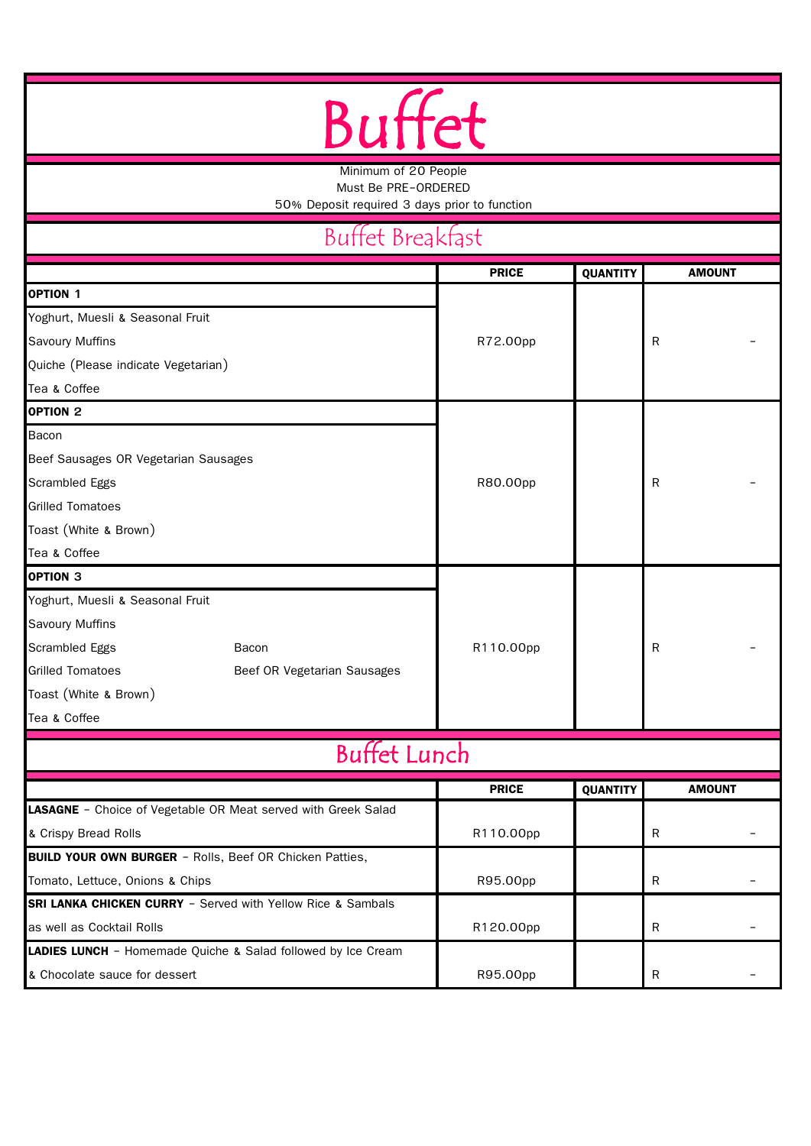## Buffet

Minimum of 20 People

Must Be PRE-ORDERED

50% Deposit required 3 days prior to function

## Buffet Breakfast

|                                                                     | <b>PRICE</b> | <b>QUANTITY</b> | <b>AMOUNT</b> |
|---------------------------------------------------------------------|--------------|-----------------|---------------|
| <b>OPTION 1</b>                                                     |              |                 |               |
| Yoghurt, Muesli & Seasonal Fruit                                    |              |                 |               |
| <b>Savoury Muffins</b>                                              | R72.00pp     |                 | $\mathsf{R}$  |
| Quiche (Please indicate Vegetarian)                                 |              |                 |               |
| Tea & Coffee                                                        |              |                 |               |
| OPTION <sub>2</sub>                                                 |              |                 |               |
| Bacon                                                               |              |                 |               |
| Beef Sausages OR Vegetarian Sausages                                |              |                 |               |
| Scrambled Eggs                                                      | R80.00pp     |                 | $\mathsf{R}$  |
| <b>Grilled Tomatoes</b>                                             |              |                 |               |
| Toast (White & Brown)                                               |              |                 |               |
| Tea & Coffee                                                        |              |                 |               |
| <b>OPTION 3</b>                                                     |              |                 |               |
| Yoghurt, Muesli & Seasonal Fruit                                    |              |                 |               |
| Savoury Muffins                                                     |              |                 |               |
| Scrambled Eggs<br>Bacon                                             | R110.00pp    |                 | $\mathsf{R}$  |
| <b>Grilled Tomatoes</b><br>Beef OR Vegetarian Sausages              |              |                 |               |
| Toast (White & Brown)                                               |              |                 |               |
| Tea & Coffee                                                        |              |                 |               |
| <b>Buffet Lunch</b>                                                 |              |                 |               |
|                                                                     | <b>PRICE</b> | QUANTITY        | <b>AMOUNT</b> |
| LASAGNE - Choice of Vegetable OR Meat served with Greek Salad       |              |                 |               |
| & Crispy Bread Rolls                                                | R110.00pp    |                 | $\mathsf{R}$  |
| <b>BUILD YOUR OWN BURGER - Rolls, Beef OR Chicken Patties,</b>      |              |                 |               |
| Tomato, Lettuce, Onions & Chips                                     | R95.00pp     |                 | ${\sf R}$     |
| <b>SRI LANKA CHICKEN CURRY</b> - Served with Yellow Rice & Sambals  |              |                 |               |
| as well as Cocktail Rolls                                           | R120.00pp    |                 | $\mathsf R$   |
| <b>LADIES LUNCH</b> - Homemade Quiche & Salad followed by Ice Cream |              |                 |               |
| & Chocolate sauce for dessert                                       | R95.00pp     |                 | ${\sf R}$     |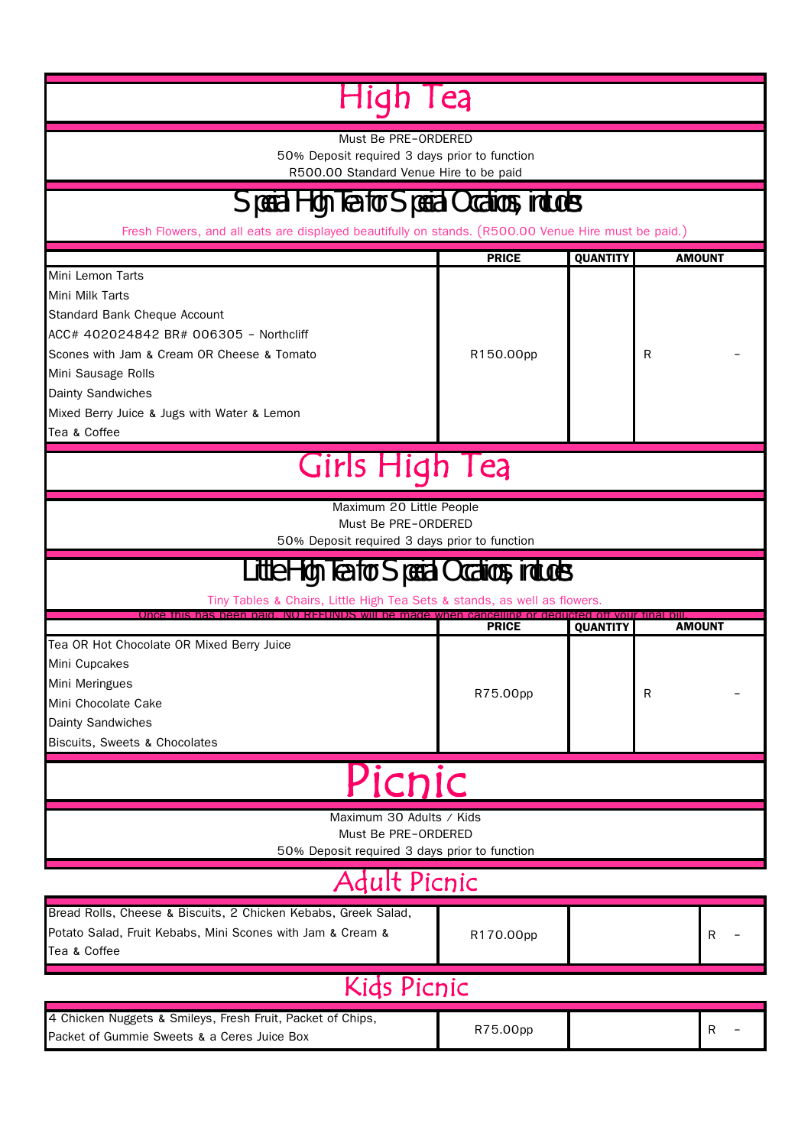|                                                                                                                                                                                                                                                                              | lea                       |                 |   |               |
|------------------------------------------------------------------------------------------------------------------------------------------------------------------------------------------------------------------------------------------------------------------------------|---------------------------|-----------------|---|---------------|
| Must Be PRE-ORDERED<br>50% Deposit required 3 days prior to function<br>R500.00 Standard Venue Hire to be paid                                                                                                                                                               |                           |                 |   |               |
| Special High Tea for Special Occations, includes:                                                                                                                                                                                                                            |                           |                 |   |               |
| Fresh Flowers, and all eats are displayed beautifully on stands. (R500.00 Venue Hire must be paid.)                                                                                                                                                                          |                           |                 |   |               |
| Mini Lemon Tarts<br>Mini Milk Tarts<br><b>Standard Bank Cheque Account</b><br>ACC# 402024842 BR# 006305 - Northcliff<br>Scones with Jam & Cream OR Cheese & Tomato<br>Mini Sausage Rolls<br>Dainty Sandwiches<br>Mixed Berry Juice & Jugs with Water & Lemon<br>Tea & Coffee | <b>PRICE</b><br>R150.00pp | <b>QUANTITY</b> | R | <b>AMOUNT</b> |
| Girls High Tea                                                                                                                                                                                                                                                               |                           |                 |   |               |
| Maximum 20 Little People<br>Must Be PRE-ORDERED<br>50% Deposit required 3 days prior to function                                                                                                                                                                             |                           |                 |   |               |
| Little High Tea for Special Occations, includes:<br>Tiny Tables & Chairs, Little High Tea Sets & stands, as well as flowers.                                                                                                                                                 |                           |                 |   |               |
|                                                                                                                                                                                                                                                                              |                           |                 |   |               |
| Once this has been naid. NO REFUNDS will be made when cancelling or deducted off your tinal bill                                                                                                                                                                             | <b>PRICE</b>              | <b>QUANTITY</b> |   | <b>AMOUNT</b> |
| Tea OR Hot Chocolate OR Mixed Berry Juice<br>Mini Cupcakes<br>Mini Meringues<br>Mini Chocolate Cake<br><b>Dainty Sandwiches</b><br>Biscuits, Sweets & Chocolates                                                                                                             | R75.00pp                  |                 | R |               |
| <u>Picnic</u>                                                                                                                                                                                                                                                                |                           |                 |   |               |
| Maximum 30 Adults / Kids<br>Must Be PRE-ORDERED<br>50% Deposit required 3 days prior to function                                                                                                                                                                             |                           |                 |   |               |
| Adult Picnic                                                                                                                                                                                                                                                                 |                           |                 |   |               |
| Bread Rolls, Cheese & Biscuits, 2 Chicken Kebabs, Greek Salad,<br>Potato Salad, Fruit Kebabs, Mini Scones with Jam & Cream &<br>Tea & Coffee                                                                                                                                 | R170.00pp                 |                 |   | R             |
| <b>Kids Picnic</b>                                                                                                                                                                                                                                                           |                           |                 |   |               |